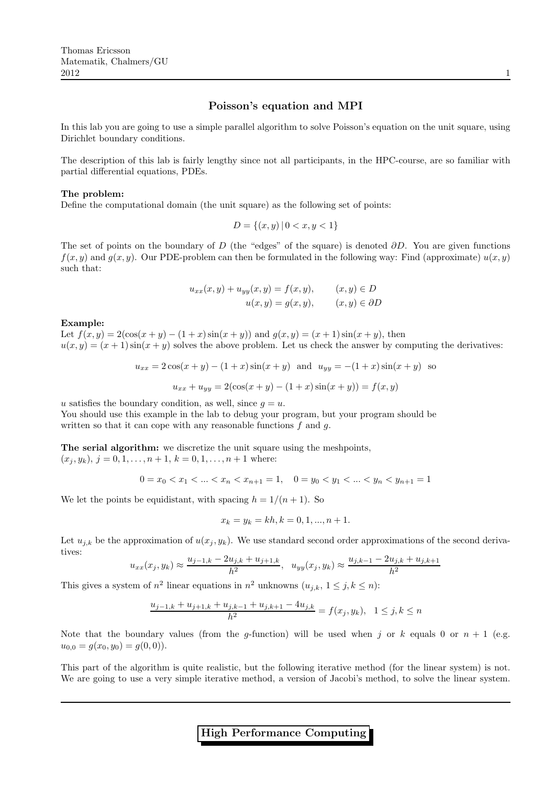In this lab you are going to use a simple parallel algorithm to solve Poisson's equation on the unit square, using Dirichlet boundary conditions.

The description of this lab is fairly lengthy since not all participants, in the HPC-course, are so familiar with partial differential equations, PDEs.

## The problem:

Define the computational domain (the unit square) as the following set of points:

$$
D = \{(x, y) \mid 0 < x, y < 1\}
$$

The set of points on the boundary of D (the "edges" of the square) is denoted  $\partial D$ . You are given functions  $f(x, y)$  and  $g(x, y)$ . Our PDE-problem can then be formulated in the following way: Find (approximate)  $u(x, y)$ such that:

$$
u_{xx}(x,y) + u_{yy}(x,y) = f(x,y), \qquad (x,y) \in D
$$

$$
u(x,y) = g(x,y), \qquad (x,y) \in \partial D
$$

#### Example:

Let  $f(x, y) = 2(\cos(x + y) - (1 + x)\sin(x + y))$  and  $g(x, y) = (x + 1)\sin(x + y)$ , then  $u(x, y) = (x + 1) \sin(x + y)$  solves the above problem. Let us check the answer by computing the derivatives:

$$
u_{xx} = 2\cos(x+y) - (1+x)\sin(x+y) \text{ and } u_{yy} = -(1+x)\sin(x+y) \text{ so}
$$

$$
u_{xx} + u_{yy} = 2(\cos(x+y) - (1+x)\sin(x+y)) = f(x,y)
$$

u satisfies the boundary condition, as well, since  $q = u$ .

You should use this example in the lab to debug your program, but your program should be written so that it can cope with any reasonable functions  $f$  and  $g$ .

The serial algorithm: we discretize the unit square using the meshpoints,  $(x_j, y_k), j = 0, 1, \ldots, n + 1, k = 0, 1, \ldots, n + 1$  where:

 $0 = x_0 < x_1 < \ldots < x_n < x_{n+1} = 1, \quad 0 = y_0 < y_1 < \ldots < y_n < y_{n+1} = 1$ 

We let the points be equidistant, with spacing  $h = 1/(n + 1)$ . So

$$
x_k = y_k = kh, k = 0, 1, ..., n + 1.
$$

Let  $u_{j,k}$  be the approximation of  $u(x_j, y_k)$ . We use standard second order approximations of the second derivatives:

$$
u_{xx}(x_j, y_k) \approx \frac{u_{j-1,k} - 2u_{j,k} + u_{j+1,k}}{h^2}, \quad u_{yy}(x_j, y_k) \approx \frac{u_{j,k-1} - 2u_{j,k} + u_{j,k+1}}{h^2}
$$

This gives a system of  $n^2$  linear equations in  $n^2$  unknowns  $(u_{j,k}, 1 \le j, k \le n)$ :

$$
\frac{u_{j-1,k} + u_{j+1,k} + u_{j,k-1} + u_{j,k+1} - 4u_{j,k}}{h^2} = f(x_j, y_k), \quad 1 \le j,k \le n
$$

Note that the boundary values (from the g-function) will be used when j or k equals 0 or  $n + 1$  (e.g.  $u_{0,0} = g(x_0, y_0) = g(0, 0).$ 

This part of the algorithm is quite realistic, but the following iterative method (for the linear system) is not. We are going to use a very simple iterative method, a version of Jacobi's method, to solve the linear system.

High Performance Computing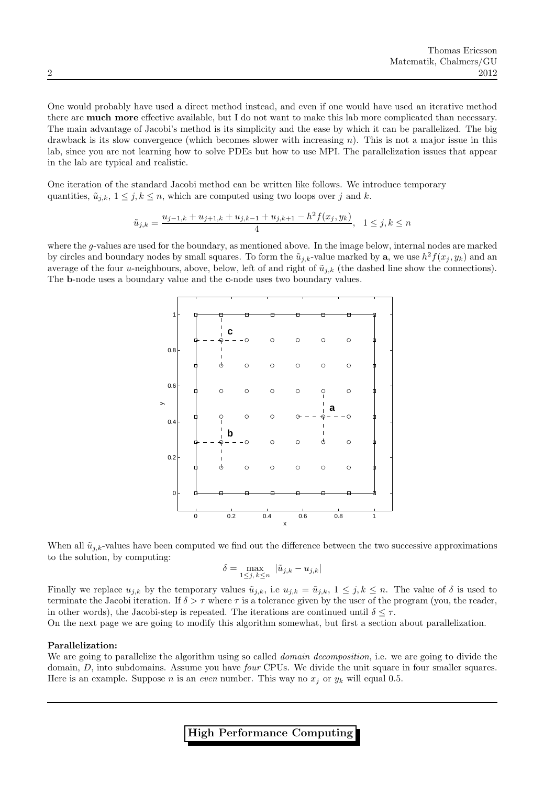One would probably have used a direct method instead, and even if one would have used an iterative method there are much more effective available, but I do not want to make this lab more complicated than necessary. The main advantage of Jacobi's method is its simplicity and the ease by which it can be parallelized. The big drawback is its slow convergence (which becomes slower with increasing n). This is not a major issue in this lab, since you are not learning how to solve PDEs but how to use MPI. The parallelization issues that appear in the lab are typical and realistic.

One iteration of the standard Jacobi method can be written like follows. We introduce temporary quantities,  $\tilde{u}_{j,k}$ ,  $1 \leq j, k \leq n$ , which are computed using two loops over j and k.

$$
\tilde{u}_{j,k} = \frac{u_{j-1,k} + u_{j+1,k} + u_{j,k-1} + u_{j,k+1} - h^2 f(x_j, y_k)}{4}, \quad 1 \le j,k \le n
$$

where the g-values are used for the boundary, as mentioned above. In the image below, internal nodes are marked by circles and boundary nodes by small squares. To form the  $\tilde{u}_{j,k}$ -value marked by **a**, we use  $h^2 f(x_j, y_k)$  and an average of the four u-neighbours, above, below, left of and right of  $\tilde{u}_{i,k}$  (the dashed line show the connections). The b-node uses a boundary value and the c-node uses two boundary values.



When all  $\tilde{u}_{j,k}$ -values have been computed we find out the difference between the two successive approximations to the solution, by computing:

$$
\delta = \max_{1 \le j, k \le n} |\tilde{u}_{j,k} - u_{j,k}|
$$

Finally we replace  $u_{j,k}$  by the temporary values  $\tilde{u}_{j,k}$ , i.e  $u_{j,k} = \tilde{u}_{j,k}$ ,  $1 \leq j, k \leq n$ . The value of  $\delta$  is used to terminate the Jacobi iteration. If  $\delta > \tau$  where  $\tau$  is a tolerance given by the user of the program (you, the reader, in other words), the Jacobi-step is repeated. The iterations are continued until  $\delta \leq \tau$ .

On the next page we are going to modify this algorithm somewhat, but first a section about parallelization.

## Parallelization:

We are going to parallelize the algorithm using so called *domain decomposition*, i.e. we are going to divide the domain, D, into subdomains. Assume you have *four* CPUs. We divide the unit square in four smaller squares. Here is an example. Suppose n is an even number. This way no  $x_i$  or  $y_k$  will equal 0.5.

High Performance Computing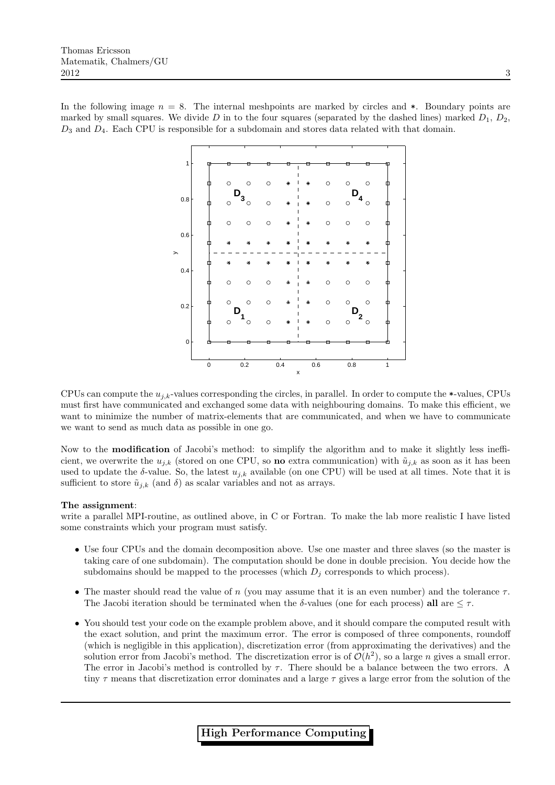In the following image  $n = 8$ . The internal meshpoints are marked by circles and  $\ast$ . Boundary points are marked by small squares. We divide D in to the four squares (separated by the dashed lines) marked  $D_1$ ,  $D_2$ ,  $D_3$  and  $D_4$ . Each CPU is responsible for a subdomain and stores data related with that domain.



CPUs can compute the  $u_{i,k}$ -values corresponding the circles, in parallel. In order to compute the  $\ast$ -values, CPUs must first have communicated and exchanged some data with neighbouring domains. To make this efficient, we want to minimize the number of matrix-elements that are communicated, and when we have to communicate we want to send as much data as possible in one go.

Now to the **modification** of Jacobi's method: to simplify the algorithm and to make it slightly less inefficient, we overwrite the  $u_{j,k}$  (stored on one CPU, so **no** extra communication) with  $\tilde{u}_{j,k}$  as soon as it has been used to update the  $\delta$ -value. So, the latest  $u_{j,k}$  available (on one CPU) will be used at all times. Note that it is sufficient to store  $\tilde{u}_{i,k}$  (and  $\delta$ ) as scalar variables and not as arrays.

## The assignment:

write a parallel MPI-routine, as outlined above, in C or Fortran. To make the lab more realistic I have listed some constraints which your program must satisfy.

- Use four CPUs and the domain decomposition above. Use one master and three slaves (so the master is taking care of one subdomain). The computation should be done in double precision. You decide how the subdomains should be mapped to the processes (which  $D_i$  corresponds to which process).
- The master should read the value of  $n$  (you may assume that it is an even number) and the tolerance  $\tau$ . The Jacobi iteration should be terminated when the  $\delta$ -values (one for each process) all are  $\leq \tau$ .
- You should test your code on the example problem above, and it should compare the computed result with the exact solution, and print the maximum error. The error is composed of three components, roundoff (which is negligible in this application), discretization error (from approximating the derivatives) and the solution error from Jacobi's method. The discretization error is of  $\mathcal{O}(h^2)$ , so a large n gives a small error. The error in Jacobi's method is controlled by  $\tau$ . There should be a balance between the two errors. A tiny  $\tau$  means that discretization error dominates and a large  $\tau$  gives a large error from the solution of the